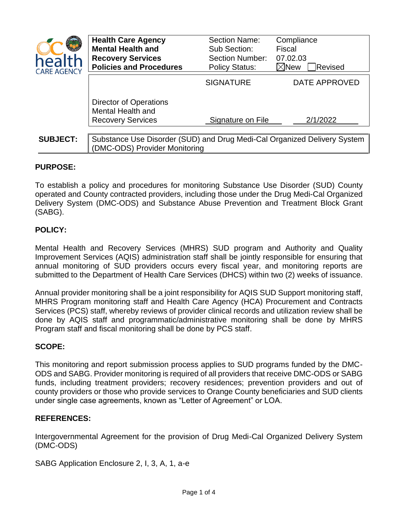

| <b>nealth</b><br><b>ARE AGENCY</b> | <b>Health Care Agency</b><br><b>Mental Health and</b><br><b>Recovery Services</b><br><b>Policies and Procedures</b> | <b>Section Name:</b><br>Sub Section:<br><b>Section Number:</b><br><b>Policy Status:</b> | Compliance<br><b>Fiscal</b><br>07.02.03<br>$\boxtimes$ New<br>Revised |
|------------------------------------|---------------------------------------------------------------------------------------------------------------------|-----------------------------------------------------------------------------------------|-----------------------------------------------------------------------|
|                                    |                                                                                                                     | <b>SIGNATURE</b>                                                                        | DATE APPROVED                                                         |
|                                    | Director of Operations<br>Mental Health and<br><b>Recovery Services</b>                                             | Signature on File                                                                       | 2/1/2022                                                              |
| <b>SUBJECT:</b>                    | Substance Use Disorder (SUD) and Drug Medi-Cal Organized Delivery System<br>(DMC-ODS) Provider Monitoring           |                                                                                         |                                                                       |

# **PURPOSE:**

To establish a policy and procedures for monitoring Substance Use Disorder (SUD) County operated and County contracted providers, including those under the Drug Medi-Cal Organized Delivery System (DMC-ODS) and Substance Abuse Prevention and Treatment Block Grant (SABG).

# **POLICY:**

Mental Health and Recovery Services (MHRS) SUD program and Authority and Quality Improvement Services (AQIS) administration staff shall be jointly responsible for ensuring that annual monitoring of SUD providers occurs every fiscal year, and monitoring reports are submitted to the Department of Health Care Services (DHCS) within two (2) weeks of issuance.

Annual provider monitoring shall be a joint responsibility for AQIS SUD Support monitoring staff, MHRS Program monitoring staff and Health Care Agency (HCA) Procurement and Contracts Services (PCS) staff, whereby reviews of provider clinical records and utilization review shall be done by AQIS staff and programmatic/administrative monitoring shall be done by MHRS Program staff and fiscal monitoring shall be done by PCS staff.

### **SCOPE:**

This monitoring and report submission process applies to SUD programs funded by the DMC-ODS and SABG. Provider monitoring is required of all providers that receive DMC-ODS or SABG funds, including treatment providers; recovery residences; prevention providers and out of county providers or those who provide services to Orange County beneficiaries and SUD clients under single case agreements, known as "Letter of Agreement" or LOA.

### **REFERENCES:**

Intergovernmental Agreement for the provision of Drug Medi-Cal Organized Delivery System (DMC-ODS)

SABG Application Enclosure 2, I, 3, A, 1, a-e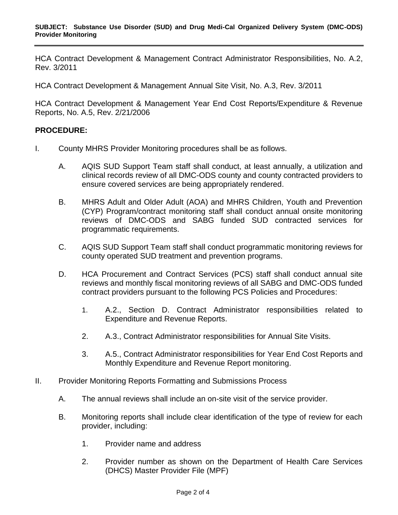HCA Contract Development & Management Contract Administrator Responsibilities, No. A.2, Rev. 3/2011

HCA Contract Development & Management Annual Site Visit, No. A.3, Rev. 3/2011

HCA Contract Development & Management Year End Cost Reports/Expenditure & Revenue Reports, No. A.5, Rev. 2/21/2006

## **PROCEDURE:**

- I. County MHRS Provider Monitoring procedures shall be as follows.
	- A. AQIS SUD Support Team staff shall conduct, at least annually, a utilization and clinical records review of all DMC-ODS county and county contracted providers to ensure covered services are being appropriately rendered.
	- B. MHRS Adult and Older Adult (AOA) and MHRS Children, Youth and Prevention (CYP) Program/contract monitoring staff shall conduct annual onsite monitoring reviews of DMC-ODS and SABG funded SUD contracted services for programmatic requirements.
	- C. AQIS SUD Support Team staff shall conduct programmatic monitoring reviews for county operated SUD treatment and prevention programs.
	- D. HCA Procurement and Contract Services (PCS) staff shall conduct annual site reviews and monthly fiscal monitoring reviews of all SABG and DMC-ODS funded contract providers pursuant to the following PCS Policies and Procedures:
		- 1. A.2., Section D. Contract Administrator responsibilities related to Expenditure and Revenue Reports.
		- 2. A.3., Contract Administrator responsibilities for Annual Site Visits.
		- 3. A.5., Contract Administrator responsibilities for Year End Cost Reports and Monthly Expenditure and Revenue Report monitoring.
- II. Provider Monitoring Reports Formatting and Submissions Process
	- A. The annual reviews shall include an on-site visit of the service provider.
	- B. Monitoring reports shall include clear identification of the type of review for each provider, including:
		- 1. Provider name and address
		- 2. Provider number as shown on the Department of Health Care Services (DHCS) Master Provider File (MPF)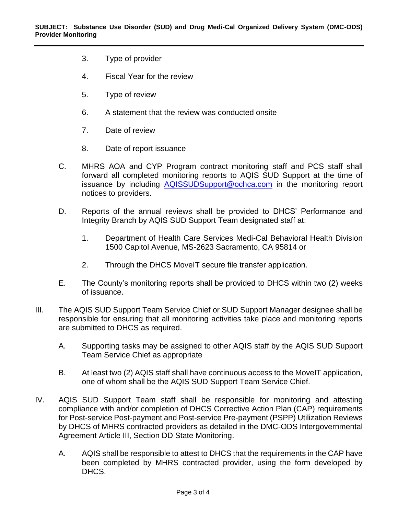- 3. Type of provider
- 4. Fiscal Year for the review
- 5. Type of review
- 6. A statement that the review was conducted onsite
- 7. Date of review
- 8. Date of report issuance
- C. MHRS AOA and CYP Program contract monitoring staff and PCS staff shall forward all completed monitoring reports to AQIS SUD Support at the time of issuance by including [AQISSUDSupport@ochca.com](mailto:AQISSUDSupport@ochca.com) in the monitoring report notices to providers.
- D. Reports of the annual reviews shall be provided to DHCS' Performance and Integrity Branch by AQIS SUD Support Team designated staff at:
	- 1. Department of Health Care Services Medi-Cal Behavioral Health Division 1500 Capitol Avenue, MS-2623 Sacramento, CA 95814 or
	- 2. Through the DHCS MoveIT secure file transfer application.
- E. The County's monitoring reports shall be provided to DHCS within two (2) weeks of issuance.
- III. The AQIS SUD Support Team Service Chief or SUD Support Manager designee shall be responsible for ensuring that all monitoring activities take place and monitoring reports are submitted to DHCS as required.
	- A. Supporting tasks may be assigned to other AQIS staff by the AQIS SUD Support Team Service Chief as appropriate
	- B. At least two (2) AQIS staff shall have continuous access to the MoveIT application, one of whom shall be the AQIS SUD Support Team Service Chief.
- IV. AQIS SUD Support Team staff shall be responsible for monitoring and attesting compliance with and/or completion of DHCS Corrective Action Plan (CAP) requirements for Post-service Post-payment and Post-service Pre-payment (PSPP) Utilization Reviews by DHCS of MHRS contracted providers as detailed in the DMC-ODS Intergovernmental Agreement Article III, Section DD State Monitoring.
	- A. AQIS shall be responsible to attest to DHCS that the requirements in the CAP have been completed by MHRS contracted provider, using the form developed by DHCS.